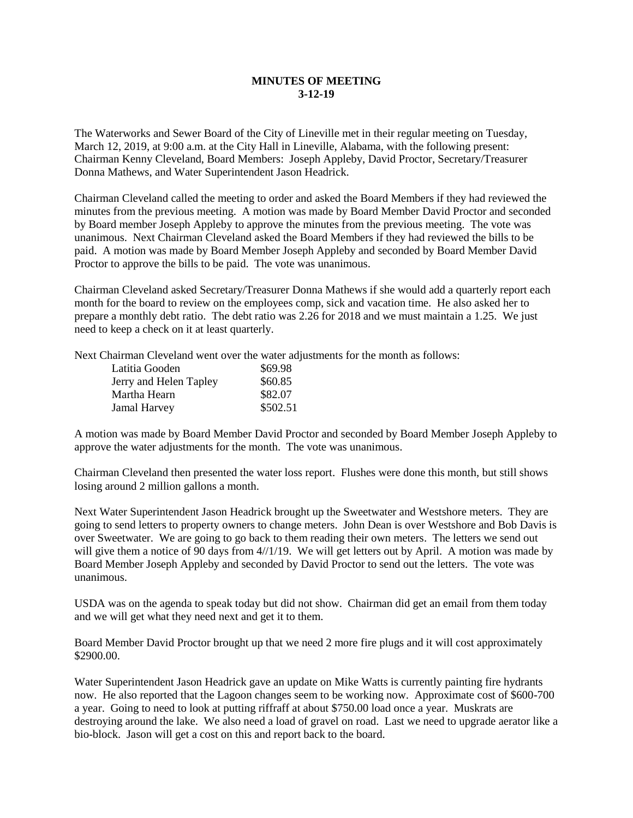## **MINUTES OF MEETING 3-12-19**

The Waterworks and Sewer Board of the City of Lineville met in their regular meeting on Tuesday, March 12, 2019, at 9:00 a.m. at the City Hall in Lineville, Alabama, with the following present: Chairman Kenny Cleveland, Board Members: Joseph Appleby, David Proctor, Secretary/Treasurer Donna Mathews, and Water Superintendent Jason Headrick.

Chairman Cleveland called the meeting to order and asked the Board Members if they had reviewed the minutes from the previous meeting. A motion was made by Board Member David Proctor and seconded by Board member Joseph Appleby to approve the minutes from the previous meeting. The vote was unanimous. Next Chairman Cleveland asked the Board Members if they had reviewed the bills to be paid. A motion was made by Board Member Joseph Appleby and seconded by Board Member David Proctor to approve the bills to be paid. The vote was unanimous.

Chairman Cleveland asked Secretary/Treasurer Donna Mathews if she would add a quarterly report each month for the board to review on the employees comp, sick and vacation time. He also asked her to prepare a monthly debt ratio. The debt ratio was 2.26 for 2018 and we must maintain a 1.25. We just need to keep a check on it at least quarterly.

Next Chairman Cleveland went over the water adjustments for the month as follows:

| Latitia Gooden         | \$69.98  |
|------------------------|----------|
| Jerry and Helen Tapley | \$60.85  |
| Martha Hearn           | \$82.07  |
| <b>Jamal Harvey</b>    | \$502.51 |

A motion was made by Board Member David Proctor and seconded by Board Member Joseph Appleby to approve the water adjustments for the month. The vote was unanimous.

Chairman Cleveland then presented the water loss report. Flushes were done this month, but still shows losing around 2 million gallons a month.

Next Water Superintendent Jason Headrick brought up the Sweetwater and Westshore meters. They are going to send letters to property owners to change meters. John Dean is over Westshore and Bob Davis is over Sweetwater. We are going to go back to them reading their own meters. The letters we send out will give them a notice of 90 days from  $4/1/19$ . We will get letters out by April. A motion was made by Board Member Joseph Appleby and seconded by David Proctor to send out the letters. The vote was unanimous.

USDA was on the agenda to speak today but did not show. Chairman did get an email from them today and we will get what they need next and get it to them.

Board Member David Proctor brought up that we need 2 more fire plugs and it will cost approximately \$2900.00.

Water Superintendent Jason Headrick gave an update on Mike Watts is currently painting fire hydrants now. He also reported that the Lagoon changes seem to be working now. Approximate cost of \$600-700 a year. Going to need to look at putting riffraff at about \$750.00 load once a year. Muskrats are destroying around the lake. We also need a load of gravel on road. Last we need to upgrade aerator like a bio-block. Jason will get a cost on this and report back to the board.